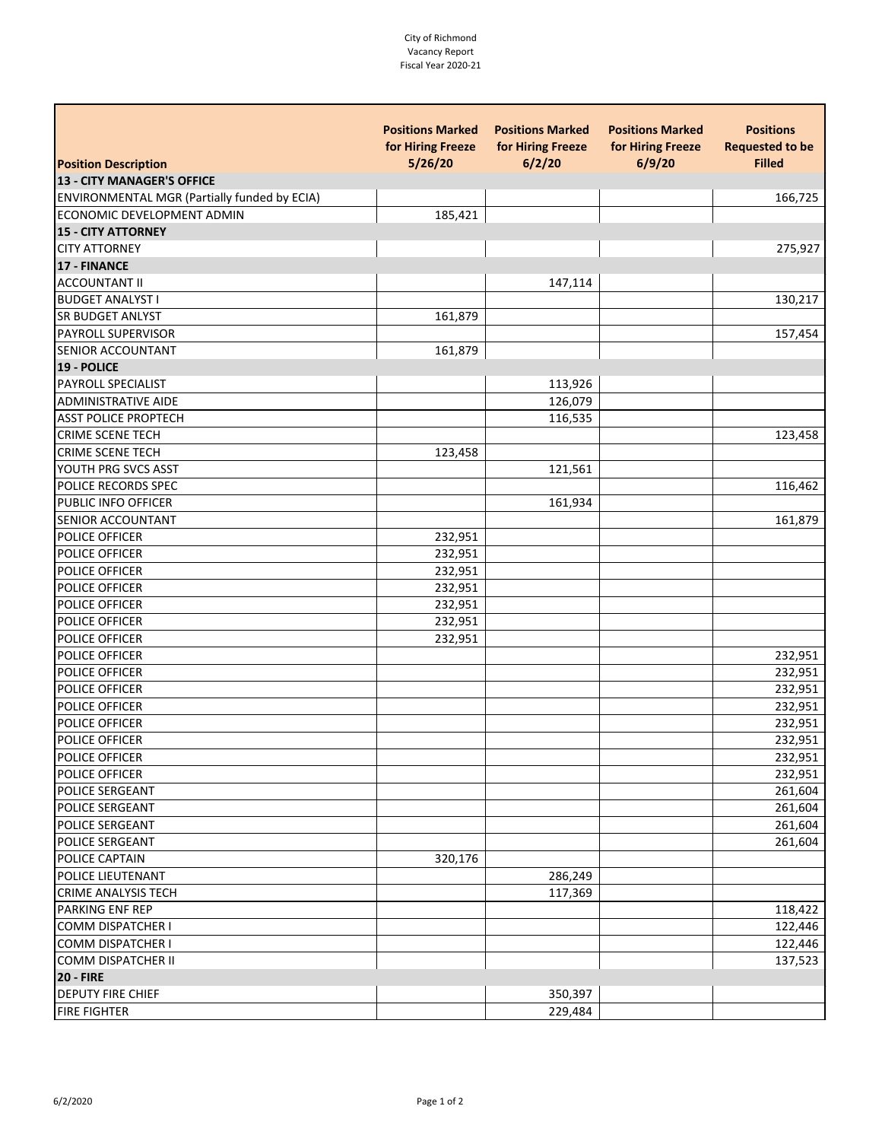## City of Richmond Vacancy Report Fiscal Year 2020-21

| <b>Position Description</b>                  | <b>Positions Marked</b><br>for Hiring Freeze<br>5/26/20 | <b>Positions Marked</b><br>for Hiring Freeze<br>6/2/20 | <b>Positions Marked</b><br>for Hiring Freeze<br>6/9/20 | <b>Positions</b><br><b>Requested to be</b><br><b>Filled</b> |
|----------------------------------------------|---------------------------------------------------------|--------------------------------------------------------|--------------------------------------------------------|-------------------------------------------------------------|
|                                              |                                                         |                                                        |                                                        |                                                             |
| 13 - CITY MANAGER'S OFFICE                   |                                                         |                                                        |                                                        |                                                             |
| ENVIRONMENTAL MGR (Partially funded by ECIA) |                                                         |                                                        |                                                        | 166,725                                                     |
| ECONOMIC DEVELOPMENT ADMIN                   | 185,421                                                 |                                                        |                                                        |                                                             |
| <b>15 - CITY ATTORNEY</b>                    |                                                         |                                                        |                                                        |                                                             |
| <b>CITY ATTORNEY</b>                         |                                                         |                                                        |                                                        | 275,927                                                     |
| <b>17 - FINANCE</b>                          |                                                         |                                                        |                                                        |                                                             |
| <b>ACCOUNTANT II</b>                         |                                                         | 147,114                                                |                                                        |                                                             |
| <b>BUDGET ANALYST I</b>                      |                                                         |                                                        |                                                        | 130,217                                                     |
| <b>SR BUDGET ANLYST</b>                      | 161,879                                                 |                                                        |                                                        |                                                             |
| PAYROLL SUPERVISOR                           |                                                         |                                                        |                                                        | 157,454                                                     |
| <b>SENIOR ACCOUNTANT</b>                     | 161,879                                                 |                                                        |                                                        |                                                             |
| 19 - POLICE                                  |                                                         |                                                        |                                                        |                                                             |
| PAYROLL SPECIALIST                           |                                                         | 113,926                                                |                                                        |                                                             |
| <b>ADMINISTRATIVE AIDE</b>                   |                                                         | 126,079                                                |                                                        |                                                             |
| <b>ASST POLICE PROPTECH</b>                  |                                                         | 116,535                                                |                                                        |                                                             |
| <b>CRIME SCENE TECH</b>                      |                                                         |                                                        |                                                        | 123,458                                                     |
| <b>CRIME SCENE TECH</b>                      | 123,458                                                 |                                                        |                                                        |                                                             |
| YOUTH PRG SVCS ASST                          |                                                         | 121,561                                                |                                                        |                                                             |
| POLICE RECORDS SPEC                          |                                                         |                                                        |                                                        | 116,462                                                     |
| PUBLIC INFO OFFICER                          |                                                         | 161,934                                                |                                                        |                                                             |
| SENIOR ACCOUNTANT                            |                                                         |                                                        |                                                        | 161,879                                                     |
| <b>POLICE OFFICER</b>                        | 232,951                                                 |                                                        |                                                        |                                                             |
| <b>POLICE OFFICER</b>                        | 232,951                                                 |                                                        |                                                        |                                                             |
| POLICE OFFICER                               | 232,951                                                 |                                                        |                                                        |                                                             |
| POLICE OFFICER                               | 232,951                                                 |                                                        |                                                        |                                                             |
| POLICE OFFICER                               | 232,951                                                 |                                                        |                                                        |                                                             |
| POLICE OFFICER                               | 232,951                                                 |                                                        |                                                        |                                                             |
| POLICE OFFICER                               | 232,951                                                 |                                                        |                                                        |                                                             |
| POLICE OFFICER                               |                                                         |                                                        |                                                        | 232,951                                                     |
| POLICE OFFICER                               |                                                         |                                                        |                                                        | 232,951                                                     |
| POLICE OFFICER                               |                                                         |                                                        |                                                        | 232,951                                                     |
| POLICE OFFICER                               |                                                         |                                                        |                                                        | 232,951                                                     |
| POLICE OFFICER                               |                                                         |                                                        |                                                        | 232,951                                                     |
| <b>POLICE OFFICER</b>                        |                                                         |                                                        |                                                        | 232,951                                                     |
| <b>POLICE OFFICER</b>                        |                                                         |                                                        |                                                        | 232,951                                                     |
| POLICE OFFICER                               |                                                         |                                                        |                                                        | 232,951                                                     |
| POLICE SERGEANT                              |                                                         |                                                        |                                                        | 261,604                                                     |
| <b>POLICE SERGEANT</b>                       |                                                         |                                                        |                                                        | 261,604                                                     |
| POLICE SERGEANT                              |                                                         |                                                        |                                                        | 261,604                                                     |
| POLICE SERGEANT                              |                                                         |                                                        |                                                        | 261,604                                                     |
| POLICE CAPTAIN                               | 320,176                                                 |                                                        |                                                        |                                                             |
| POLICE LIEUTENANT                            |                                                         | 286,249                                                |                                                        |                                                             |
| <b>CRIME ANALYSIS TECH</b>                   |                                                         | 117,369                                                |                                                        |                                                             |
| <b>PARKING ENF REP</b>                       |                                                         |                                                        |                                                        | 118,422                                                     |
| <b>COMM DISPATCHER I</b>                     |                                                         |                                                        |                                                        | 122,446                                                     |
| <b>COMM DISPATCHER I</b>                     |                                                         |                                                        |                                                        | 122,446                                                     |
| <b>COMM DISPATCHER II</b>                    |                                                         |                                                        |                                                        | 137,523                                                     |
| <b>20 - FIRE</b>                             |                                                         |                                                        |                                                        |                                                             |
| <b>DEPUTY FIRE CHIEF</b>                     |                                                         | 350,397                                                |                                                        |                                                             |
| <b>FIRE FIGHTER</b>                          |                                                         | 229,484                                                |                                                        |                                                             |